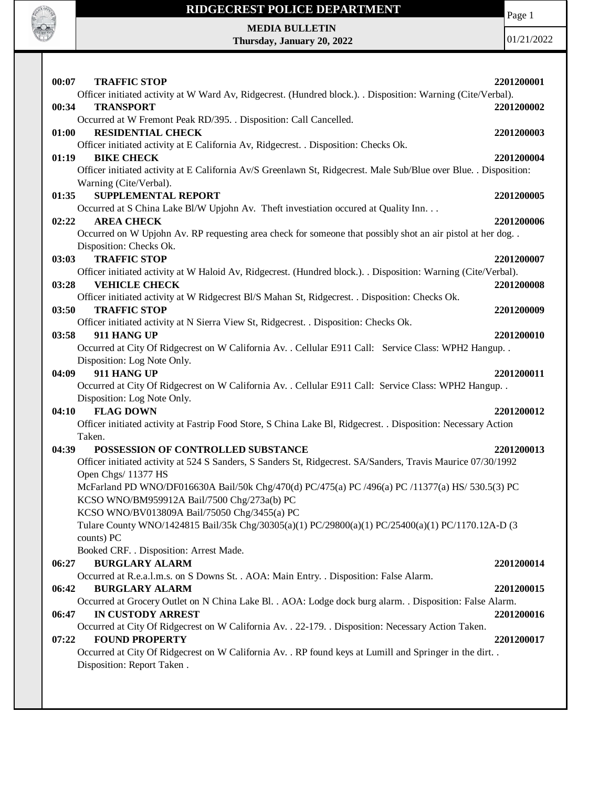

Page 1

**MEDIA BULLETIN Thursday, January 20, 2022**

| 00:07<br><b>TRAFFIC STOP</b>                                                                                                                                | 2201200001 |
|-------------------------------------------------------------------------------------------------------------------------------------------------------------|------------|
| Officer initiated activity at W Ward Av, Ridgecrest. (Hundred block.). . Disposition: Warning (Cite/Verbal).                                                |            |
| 00:34<br><b>TRANSPORT</b>                                                                                                                                   | 2201200002 |
| Occurred at W Fremont Peak RD/395. . Disposition: Call Cancelled.                                                                                           |            |
| <b>RESIDENTIAL CHECK</b><br>01:00                                                                                                                           | 2201200003 |
| Officer initiated activity at E California Av, Ridgecrest. . Disposition: Checks Ok.                                                                        |            |
| <b>BIKE CHECK</b><br>01:19                                                                                                                                  | 2201200004 |
| Officer initiated activity at E California Av/S Greenlawn St, Ridgecrest. Male Sub/Blue over Blue. . Disposition:                                           |            |
| Warning (Cite/Verbal).                                                                                                                                      |            |
| <b>SUPPLEMENTAL REPORT</b><br>01:35                                                                                                                         | 2201200005 |
| Occurred at S China Lake Bl/W Upjohn Av. Theft investiation occured at Quality Inn.                                                                         |            |
| <b>AREA CHECK</b><br>02:22<br>Occurred on W Upjohn Av. RP requesting area check for someone that possibly shot an air pistol at her dog                     | 2201200006 |
| Disposition: Checks Ok.                                                                                                                                     |            |
| <b>TRAFFIC STOP</b><br>03:03                                                                                                                                | 2201200007 |
| Officer initiated activity at W Haloid Av, Ridgecrest. (Hundred block.). . Disposition: Warning (Cite/Verbal).                                              |            |
| <b>VEHICLE CHECK</b><br>03:28                                                                                                                               | 2201200008 |
| Officer initiated activity at W Ridgecrest Bl/S Mahan St, Ridgecrest. . Disposition: Checks Ok.                                                             |            |
| 03:50<br><b>TRAFFIC STOP</b>                                                                                                                                | 2201200009 |
| Officer initiated activity at N Sierra View St, Ridgecrest. . Disposition: Checks Ok.                                                                       |            |
| 911 HANG UP<br>03:58                                                                                                                                        | 2201200010 |
| Occurred at City Of Ridgecrest on W California Av. . Cellular E911 Call: Service Class: WPH2 Hangup. .                                                      |            |
| Disposition: Log Note Only.                                                                                                                                 |            |
| 911 HANG UP<br>04:09                                                                                                                                        | 2201200011 |
| Occurred at City Of Ridgecrest on W California Av. . Cellular E911 Call: Service Class: WPH2 Hangup. .                                                      |            |
| Disposition: Log Note Only.                                                                                                                                 |            |
| <b>FLAG DOWN</b><br>04:10                                                                                                                                   | 2201200012 |
| Officer initiated activity at Fastrip Food Store, S China Lake Bl, Ridgecrest. . Disposition: Necessary Action                                              |            |
| Taken.                                                                                                                                                      |            |
| 04:39<br>POSSESSION OF CONTROLLED SUBSTANCE<br>Officer initiated activity at 524 S Sanders, S Sanders St, Ridgecrest. SA/Sanders, Travis Maurice 07/30/1992 | 2201200013 |
| Open Chgs/ 11377 HS                                                                                                                                         |            |
| McFarland PD WNO/DF016630A Bail/50k Chg/470(d) PC/475(a) PC /496(a) PC /11377(a) HS/ 530.5(3) PC                                                            |            |
| KCSO WNO/BM959912A Bail/7500 Chg/273a(b) PC                                                                                                                 |            |
| KCSO WNO/BV013809A Bail/75050 Chg/3455(a) PC                                                                                                                |            |
| Tulare County WNO/1424815 Bail/35k Chg/30305(a)(1) PC/29800(a)(1) PC/25400(a)(1) PC/1170.12A-D (3                                                           |            |
| counts) PC                                                                                                                                                  |            |
| Booked CRF. . Disposition: Arrest Made.                                                                                                                     |            |
| 06:27<br><b>BURGLARY ALARM</b>                                                                                                                              | 2201200014 |
| Occurred at R.e.a.l.m.s. on S Downs St. . AOA: Main Entry. . Disposition: False Alarm.                                                                      |            |
| 06:42<br><b>BURGLARY ALARM</b>                                                                                                                              | 2201200015 |
| Occurred at Grocery Outlet on N China Lake Bl. . AOA: Lodge dock burg alarm. . Disposition: False Alarm.                                                    |            |
| <b>IN CUSTODY ARREST</b><br>06:47                                                                                                                           | 2201200016 |
| Occurred at City Of Ridgecrest on W California Av. . 22-179. . Disposition: Necessary Action Taken.<br><b>FOUND PROPERTY</b>                                |            |
| 07:22<br>Occurred at City Of Ridgecrest on W California Av. . RP found keys at Lumill and Springer in the dirt. .                                           | 2201200017 |
| Disposition: Report Taken.                                                                                                                                  |            |
|                                                                                                                                                             |            |
|                                                                                                                                                             |            |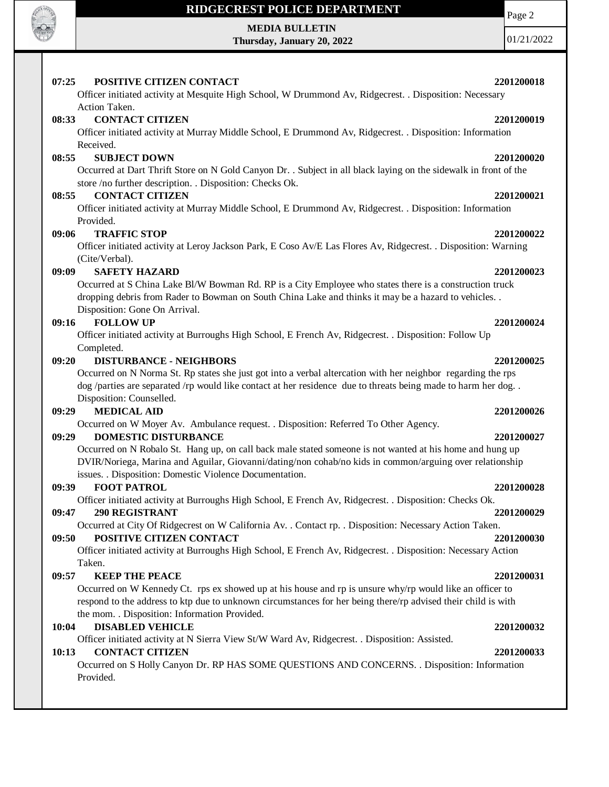

#### **MEDIA BULLETIN**

**Thursday, January 20, 2022**

Page 2

01/21/2022

#### **07:25 POSITIVE CITIZEN CONTACT 2201200018** Officer initiated activity at Mesquite High School, W Drummond Av, Ridgecrest. . Disposition: Necessary Action Taken. **08:33 CONTACT CITIZEN 2201200019** Officer initiated activity at Murray Middle School, E Drummond Av, Ridgecrest. . Disposition: Information Received. **08:55 SUBJECT DOWN 2201200020** Occurred at Dart Thrift Store on N Gold Canyon Dr. . Subject in all black laying on the sidewalk in front of the store /no further description. . Disposition: Checks Ok. **08:55 CONTACT CITIZEN 2201200021** Officer initiated activity at Murray Middle School, E Drummond Av, Ridgecrest. . Disposition: Information Provided. **09:06 TRAFFIC STOP 2201200022** Officer initiated activity at Leroy Jackson Park, E Coso Av/E Las Flores Av, Ridgecrest. . Disposition: Warning (Cite/Verbal). **09:09 SAFETY HAZARD 2201200023** Occurred at S China Lake Bl/W Bowman Rd. RP is a City Employee who states there is a construction truck dropping debris from Rader to Bowman on South China Lake and thinks it may be a hazard to vehicles. . Disposition: Gone On Arrival. **09:16 FOLLOW UP 2201200024** Officer initiated activity at Burroughs High School, E French Av, Ridgecrest. . Disposition: Follow Up Completed. **09:20 DISTURBANCE - NEIGHBORS 2201200025** Occurred on N Norma St. Rp states she just got into a verbal altercation with her neighbor regarding the rps dog /parties are separated /rp would like contact at her residence due to threats being made to harm her dog. . Disposition: Counselled. **09:29 MEDICAL AID 2201200026** Occurred on W Moyer Av. Ambulance request. . Disposition: Referred To Other Agency. **09:29 DOMESTIC DISTURBANCE 2201200027** Occurred on N Robalo St. Hang up, on call back male stated someone is not wanted at his home and hung up DVIR/Noriega, Marina and Aguilar, Giovanni/dating/non cohab/no kids in common/arguing over relationship issues. . Disposition: Domestic Violence Documentation. **09:39 FOOT PATROL 2201200028** Officer initiated activity at Burroughs High School, E French Av, Ridgecrest. . Disposition: Checks Ok. **09:47 290 REGISTRANT 2201200029** Occurred at City Of Ridgecrest on W California Av. . Contact rp. . Disposition: Necessary Action Taken. **09:50 POSITIVE CITIZEN CONTACT 2201200030** Officer initiated activity at Burroughs High School, E French Av, Ridgecrest. . Disposition: Necessary Action Taken. **09:57 KEEP THE PEACE 2201200031** Occurred on W Kennedy Ct. rps ex showed up at his house and rp is unsure why/rp would like an officer to respond to the address to ktp due to unknown circumstances for her being there/rp advised their child is with the mom. . Disposition: Information Provided. **10:04 DISABLED VEHICLE 2201200032** Officer initiated activity at N Sierra View St/W Ward Av, Ridgecrest. . Disposition: Assisted. **10:13 CONTACT CITIZEN 2201200033** Occurred on S Holly Canyon Dr. RP HAS SOME QUESTIONS AND CONCERNS. . Disposition: Information Provided.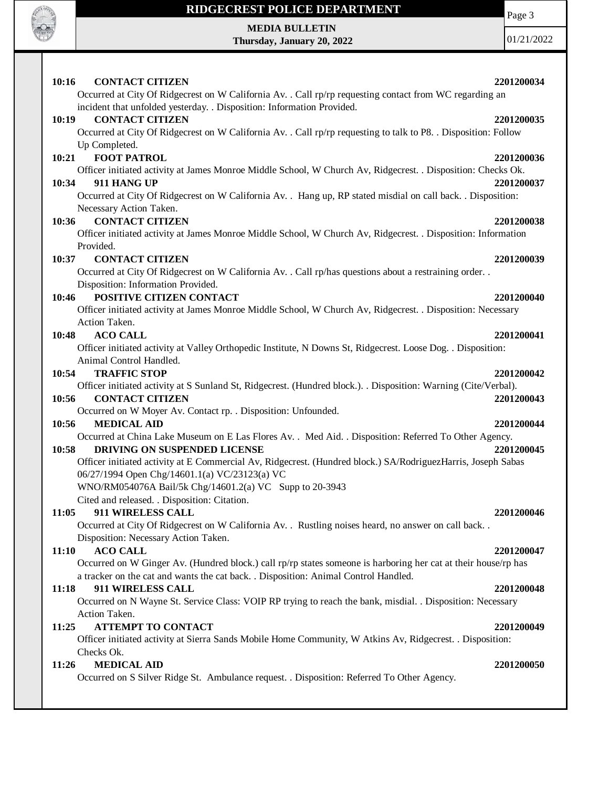

**MEDIA BULLETIN Thursday, January 20, 2022** Page 3

| <b>CONTACT CITIZEN</b><br>10:16                                                                                                                                                   | 2201200034 |
|-----------------------------------------------------------------------------------------------------------------------------------------------------------------------------------|------------|
| Occurred at City Of Ridgecrest on W California Av. . Call rp/rp requesting contact from WC regarding an<br>incident that unfolded yesterday. . Disposition: Information Provided. |            |
| 10:19<br><b>CONTACT CITIZEN</b>                                                                                                                                                   | 2201200035 |
| Occurred at City Of Ridgecrest on W California Av. . Call rp/rp requesting to talk to P8. . Disposition: Follow                                                                   |            |
| Up Completed.                                                                                                                                                                     |            |
| <b>FOOT PATROL</b><br>10:21                                                                                                                                                       | 2201200036 |
| Officer initiated activity at James Monroe Middle School, W Church Av, Ridgecrest. . Disposition: Checks Ok.                                                                      |            |
| 911 HANG UP<br>10:34                                                                                                                                                              | 2201200037 |
| Occurred at City Of Ridgecrest on W California Av. . Hang up, RP stated misdial on call back. . Disposition:                                                                      |            |
| Necessary Action Taken.                                                                                                                                                           |            |
| <b>CONTACT CITIZEN</b><br>10:36                                                                                                                                                   | 2201200038 |
| Officer initiated activity at James Monroe Middle School, W Church Av, Ridgecrest. . Disposition: Information                                                                     |            |
| Provided.                                                                                                                                                                         |            |
| <b>CONTACT CITIZEN</b><br>10:37                                                                                                                                                   | 2201200039 |
| Occurred at City Of Ridgecrest on W California Av. . Call rp/has questions about a restraining order. .                                                                           |            |
| Disposition: Information Provided.                                                                                                                                                |            |
| POSITIVE CITIZEN CONTACT<br>10:46                                                                                                                                                 | 2201200040 |
| Officer initiated activity at James Monroe Middle School, W Church Av, Ridgecrest. . Disposition: Necessary<br>Action Taken.                                                      |            |
| 10:48<br><b>ACO CALL</b>                                                                                                                                                          | 2201200041 |
| Officer initiated activity at Valley Orthopedic Institute, N Downs St, Ridgecrest. Loose Dog. . Disposition:                                                                      |            |
| Animal Control Handled.                                                                                                                                                           |            |
| 10:54<br><b>TRAFFIC STOP</b>                                                                                                                                                      | 2201200042 |
| Officer initiated activity at S Sunland St, Ridgecrest. (Hundred block.). Disposition: Warning (Cite/Verbal).                                                                     |            |
| 10:56<br><b>CONTACT CITIZEN</b>                                                                                                                                                   | 2201200043 |
| Occurred on W Moyer Av. Contact rp. . Disposition: Unfounded.                                                                                                                     |            |
| 10:56<br><b>MEDICAL AID</b>                                                                                                                                                       | 2201200044 |
| Occurred at China Lake Museum on E Las Flores Av. . Med Aid. . Disposition: Referred To Other Agency.                                                                             |            |
| DRIVING ON SUSPENDED LICENSE<br>10:58                                                                                                                                             | 2201200045 |
| Officer initiated activity at E Commercial Av, Ridgecrest. (Hundred block.) SA/RodriguezHarris, Joseph Sabas                                                                      |            |
| 06/27/1994 Open Chg/14601.1(a) VC/23123(a) VC                                                                                                                                     |            |
| WNO/RM054076A Bail/5k Chg/14601.2(a) VC Supp to 20-3943                                                                                                                           |            |
| Cited and released. . Disposition: Citation.                                                                                                                                      |            |
| 11:05<br>911 WIRELESS CALL                                                                                                                                                        | 2201200046 |
| Occurred at City Of Ridgecrest on W California Av. . Rustling noises heard, no answer on call back. .                                                                             |            |
| Disposition: Necessary Action Taken.<br><b>ACO CALL</b><br>11:10                                                                                                                  | 2201200047 |
| Occurred on W Ginger Av. (Hundred block.) call rp/rp states someone is harboring her cat at their house/rp has                                                                    |            |
| a tracker on the cat and wants the cat back. . Disposition: Animal Control Handled.                                                                                               |            |
| 911 WIRELESS CALL<br>11:18                                                                                                                                                        | 2201200048 |
| Occurred on N Wayne St. Service Class: VOIP RP trying to reach the bank, misdial. . Disposition: Necessary                                                                        |            |
| Action Taken.                                                                                                                                                                     |            |
| <b>ATTEMPT TO CONTACT</b><br>11:25                                                                                                                                                | 2201200049 |
| Officer initiated activity at Sierra Sands Mobile Home Community, W Atkins Av, Ridgecrest. . Disposition:                                                                         |            |
| Checks Ok.                                                                                                                                                                        |            |
| <b>MEDICAL AID</b><br>11:26                                                                                                                                                       | 2201200050 |
| Occurred on S Silver Ridge St. Ambulance request. . Disposition: Referred To Other Agency.                                                                                        |            |
|                                                                                                                                                                                   |            |
|                                                                                                                                                                                   |            |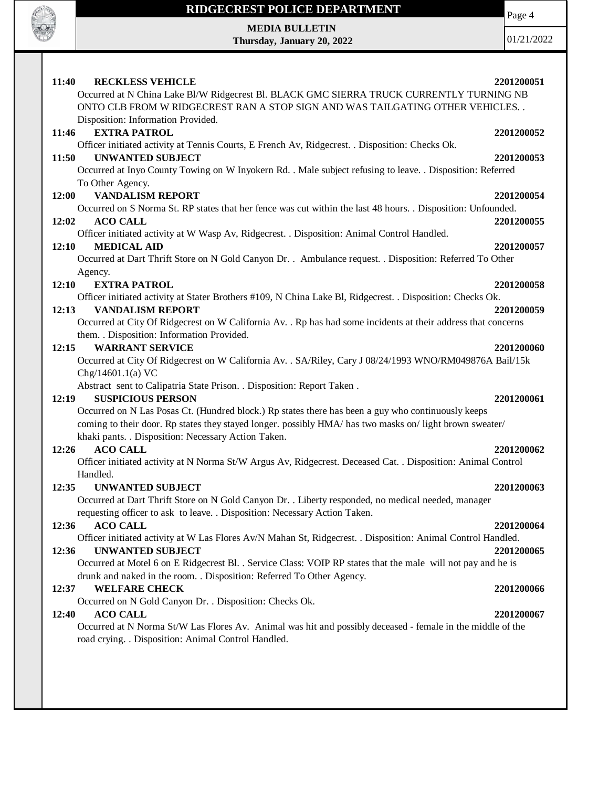

Page 4

**MEDIA BULLETIN Thursday, January 20, 2022**

| Disposition: Information Provided.<br><b>EXTRA PATROL</b><br>11:46<br>2201200052<br>Officer initiated activity at Tennis Courts, E French Av, Ridgecrest. . Disposition: Checks Ok.<br><b>UNWANTED SUBJECT</b><br>11:50<br>2201200053<br>Occurred at Inyo County Towing on W Inyokern Rd. . Male subject refusing to leave. . Disposition: Referred<br>To Other Agency.<br><b>VANDALISM REPORT</b><br>12:00<br>2201200054<br>Occurred on S Norma St. RP states that her fence was cut within the last 48 hours. . Disposition: Unfounded.<br>12:02<br><b>ACO CALL</b><br>2201200055<br>Officer initiated activity at W Wasp Av, Ridgecrest. . Disposition: Animal Control Handled.<br>12:10<br><b>MEDICAL AID</b><br>2201200057<br>Occurred at Dart Thrift Store on N Gold Canyon Dr. . Ambulance request. . Disposition: Referred To Other<br>Agency.<br><b>EXTRA PATROL</b><br>12:10<br>2201200058<br>Officer initiated activity at Stater Brothers #109, N China Lake Bl, Ridgecrest. . Disposition: Checks Ok.<br><b>VANDALISM REPORT</b><br>12:13<br>2201200059<br>Occurred at City Of Ridgecrest on W California Av. . Rp has had some incidents at their address that concerns | 2201200051 |
|---------------------------------------------------------------------------------------------------------------------------------------------------------------------------------------------------------------------------------------------------------------------------------------------------------------------------------------------------------------------------------------------------------------------------------------------------------------------------------------------------------------------------------------------------------------------------------------------------------------------------------------------------------------------------------------------------------------------------------------------------------------------------------------------------------------------------------------------------------------------------------------------------------------------------------------------------------------------------------------------------------------------------------------------------------------------------------------------------------------------------------------------------------------------------------------|------------|
|                                                                                                                                                                                                                                                                                                                                                                                                                                                                                                                                                                                                                                                                                                                                                                                                                                                                                                                                                                                                                                                                                                                                                                                       |            |
|                                                                                                                                                                                                                                                                                                                                                                                                                                                                                                                                                                                                                                                                                                                                                                                                                                                                                                                                                                                                                                                                                                                                                                                       |            |
|                                                                                                                                                                                                                                                                                                                                                                                                                                                                                                                                                                                                                                                                                                                                                                                                                                                                                                                                                                                                                                                                                                                                                                                       |            |
|                                                                                                                                                                                                                                                                                                                                                                                                                                                                                                                                                                                                                                                                                                                                                                                                                                                                                                                                                                                                                                                                                                                                                                                       |            |
|                                                                                                                                                                                                                                                                                                                                                                                                                                                                                                                                                                                                                                                                                                                                                                                                                                                                                                                                                                                                                                                                                                                                                                                       |            |
| them. . Disposition: Information Provided.                                                                                                                                                                                                                                                                                                                                                                                                                                                                                                                                                                                                                                                                                                                                                                                                                                                                                                                                                                                                                                                                                                                                            |            |
| <b>WARRANT SERVICE</b><br>12:15<br>2201200060<br>Occurred at City Of Ridgecrest on W California Av. . SA/Riley, Cary J 08/24/1993 WNO/RM049876A Bail/15k<br>Chg/14601.1(a) VC                                                                                                                                                                                                                                                                                                                                                                                                                                                                                                                                                                                                                                                                                                                                                                                                                                                                                                                                                                                                         |            |
| Abstract sent to Calipatria State Prison. . Disposition: Report Taken.<br><b>SUSPICIOUS PERSON</b><br>12:19<br>2201200061<br>Occurred on N Las Posas Ct. (Hundred block.) Rp states there has been a guy who continuously keeps<br>coming to their door. Rp states they stayed longer. possibly HMA/ has two masks on/ light brown sweater/<br>khaki pants. . Disposition: Necessary Action Taken.                                                                                                                                                                                                                                                                                                                                                                                                                                                                                                                                                                                                                                                                                                                                                                                    |            |
| <b>ACO CALL</b><br>12:26<br>2201200062<br>Officer initiated activity at N Norma St/W Argus Av, Ridgecrest. Deceased Cat. . Disposition: Animal Control<br>Handled.                                                                                                                                                                                                                                                                                                                                                                                                                                                                                                                                                                                                                                                                                                                                                                                                                                                                                                                                                                                                                    |            |
| <b>UNWANTED SUBJECT</b><br>2201200063<br>12:35<br>Occurred at Dart Thrift Store on N Gold Canyon Dr. . Liberty responded, no medical needed, manager<br>requesting officer to ask to leave. . Disposition: Necessary Action Taken.                                                                                                                                                                                                                                                                                                                                                                                                                                                                                                                                                                                                                                                                                                                                                                                                                                                                                                                                                    |            |
| <b>ACO CALL</b><br>12:36<br>2201200064<br>Officer initiated activity at W Las Flores Av/N Mahan St, Ridgecrest. . Disposition: Animal Control Handled.<br>12:36<br><b>UNWANTED SUBJECT</b><br>2201200065<br>Occurred at Motel 6 on E Ridgecrest Bl. . Service Class: VOIP RP states that the male will not pay and he is                                                                                                                                                                                                                                                                                                                                                                                                                                                                                                                                                                                                                                                                                                                                                                                                                                                              |            |
| drunk and naked in the room. . Disposition: Referred To Other Agency.<br><b>WELFARE CHECK</b><br>2201200066<br>12:37<br>Occurred on N Gold Canyon Dr. . Disposition: Checks Ok.<br><b>ACO CALL</b><br>12:40<br>2201200067                                                                                                                                                                                                                                                                                                                                                                                                                                                                                                                                                                                                                                                                                                                                                                                                                                                                                                                                                             |            |
| Occurred at N Norma St/W Las Flores Av. Animal was hit and possibly deceased - female in the middle of the<br>road crying. . Disposition: Animal Control Handled.                                                                                                                                                                                                                                                                                                                                                                                                                                                                                                                                                                                                                                                                                                                                                                                                                                                                                                                                                                                                                     |            |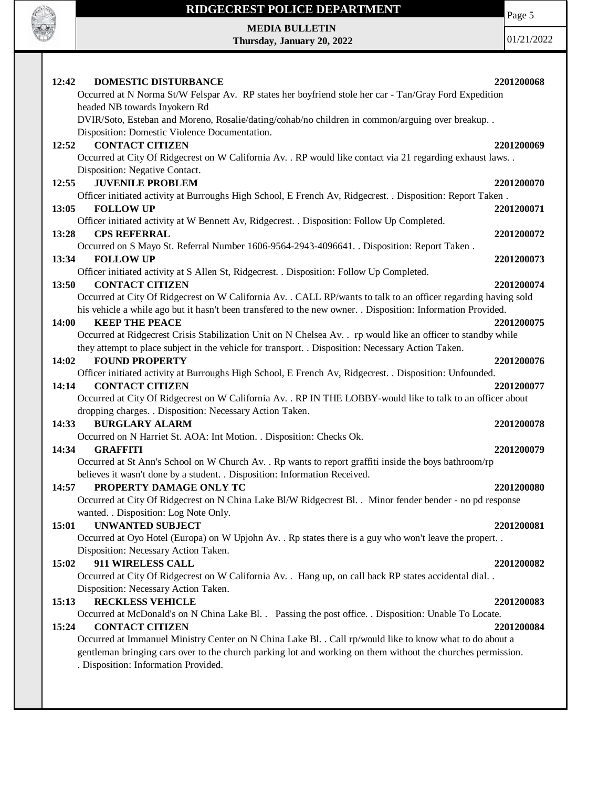

# **RIDGECREST POLICE DEPARTMENT MEDIA BULLETIN**

**Thursday, January 20, 2022**

Page 5

| 12:42<br><b>DOMESTIC DISTURBANCE</b>                                                                                                           | 2201200068 |
|------------------------------------------------------------------------------------------------------------------------------------------------|------------|
| Occurred at N Norma St/W Felspar Av. RP states her boyfriend stole her car - Tan/Gray Ford Expedition                                          |            |
| headed NB towards Inyokern Rd                                                                                                                  |            |
| DVIR/Soto, Esteban and Moreno, Rosalie/dating/cohab/no children in common/arguing over breakup. .                                              |            |
| Disposition: Domestic Violence Documentation.                                                                                                  |            |
| <b>CONTACT CITIZEN</b><br>12:52                                                                                                                | 2201200069 |
| Occurred at City Of Ridgecrest on W California Av. . RP would like contact via 21 regarding exhaust laws. .                                    |            |
| Disposition: Negative Contact.                                                                                                                 |            |
| <b>JUVENILE PROBLEM</b><br>12:55                                                                                                               | 2201200070 |
| Officer initiated activity at Burroughs High School, E French Av, Ridgecrest. . Disposition: Report Taken.                                     |            |
| <b>FOLLOW UP</b><br>13:05                                                                                                                      | 2201200071 |
| Officer initiated activity at W Bennett Av, Ridgecrest. . Disposition: Follow Up Completed.                                                    |            |
| <b>CPS REFERRAL</b><br>13:28                                                                                                                   | 2201200072 |
| Occurred on S Mayo St. Referral Number 1606-9564-2943-4096641. . Disposition: Report Taken.                                                    |            |
| <b>FOLLOW UP</b><br>13:34                                                                                                                      | 2201200073 |
| Officer initiated activity at S Allen St, Ridgecrest. . Disposition: Follow Up Completed.                                                      |            |
| <b>CONTACT CITIZEN</b><br>13:50                                                                                                                | 2201200074 |
| Occurred at City Of Ridgecrest on W California Av. . CALL RP/wants to talk to an officer regarding having sold                                 |            |
| his vehicle a while ago but it hasn't been transfered to the new owner. . Disposition: Information Provided.<br>14:00<br><b>KEEP THE PEACE</b> |            |
| Occurred at Ridgecrest Crisis Stabilization Unit on N Chelsea Av. . rp would like an officer to standby while                                  | 2201200075 |
| they attempt to place subject in the vehicle for transport. . Disposition: Necessary Action Taken.                                             |            |
| <b>FOUND PROPERTY</b><br>14:02                                                                                                                 | 2201200076 |
| Officer initiated activity at Burroughs High School, E French Av, Ridgecrest. . Disposition: Unfounded.                                        |            |
| <b>CONTACT CITIZEN</b><br>14:14                                                                                                                | 2201200077 |
| Occurred at City Of Ridgecrest on W California Av. . RP IN THE LOBBY-would like to talk to an officer about                                    |            |
| dropping charges. . Disposition: Necessary Action Taken.                                                                                       |            |
| <b>BURGLARY ALARM</b><br>14:33                                                                                                                 | 2201200078 |
| Occurred on N Harriet St. AOA: Int Motion. . Disposition: Checks Ok.                                                                           |            |
| 14:34<br><b>GRAFFITI</b>                                                                                                                       | 2201200079 |
| Occurred at St Ann's School on W Church Av. . Rp wants to report graffiti inside the boys bathroom/rp                                          |            |
| believes it wasn't done by a student. . Disposition: Information Received.                                                                     |            |
| PROPERTY DAMAGE ONLY TC<br>14:57                                                                                                               | 2201200080 |
| Occurred at City Of Ridgecrest on N China Lake Bl/W Ridgecrest Bl. . Minor fender bender - no pd response                                      |            |
| wanted. . Disposition: Log Note Only.                                                                                                          |            |
| <b>UNWANTED SUBJECT</b><br>15:01                                                                                                               | 2201200081 |
| Occurred at Oyo Hotel (Europa) on W Upjohn Av. . Rp states there is a guy who won't leave the propert. .                                       |            |
| Disposition: Necessary Action Taken.                                                                                                           |            |
| 911 WIRELESS CALL<br>15:02                                                                                                                     | 2201200082 |
| Occurred at City Of Ridgecrest on W California Av. . Hang up, on call back RP states accidental dial                                           |            |
| Disposition: Necessary Action Taken.                                                                                                           |            |
| <b>RECKLESS VEHICLE</b><br>15:13                                                                                                               | 2201200083 |
| Occurred at McDonald's on N China Lake Bl. . Passing the post office. . Disposition: Unable To Locate.                                         |            |
| <b>CONTACT CITIZEN</b><br>15:24                                                                                                                | 2201200084 |
| Occurred at Immanuel Ministry Center on N China Lake Bl. . Call rp/would like to know what to do about a                                       |            |
| gentleman bringing cars over to the church parking lot and working on them without the churches permission.                                    |            |
| . Disposition: Information Provided.                                                                                                           |            |
|                                                                                                                                                |            |
|                                                                                                                                                |            |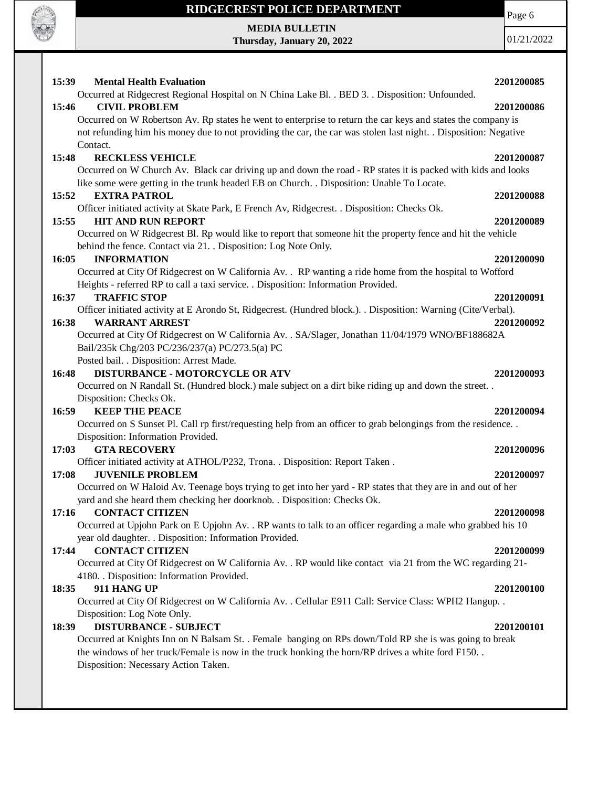

 $\mathbf{I}$ 

## **RIDGECREST POLICE DEPARTMENT**

**MEDIA BULLETIN Thursday, January 20, 2022** Page 6

| 15:39<br><b>Mental Health Evaluation</b>                                                                                                                                                                                         | 2201200085 |
|----------------------------------------------------------------------------------------------------------------------------------------------------------------------------------------------------------------------------------|------------|
| Occurred at Ridgecrest Regional Hospital on N China Lake Bl. . BED 3. . Disposition: Unfounded.                                                                                                                                  |            |
| <b>CIVIL PROBLEM</b><br>15:46                                                                                                                                                                                                    | 2201200086 |
| Occurred on W Robertson Av. Rp states he went to enterprise to return the car keys and states the company is<br>not refunding him his money due to not providing the car, the car was stolen last night. . Disposition: Negative |            |
| Contact.                                                                                                                                                                                                                         |            |
| 15:48<br><b>RECKLESS VEHICLE</b>                                                                                                                                                                                                 | 2201200087 |
| Occurred on W Church Av. Black car driving up and down the road - RP states it is packed with kids and looks                                                                                                                     |            |
| like some were getting in the trunk headed EB on Church. . Disposition: Unable To Locate.                                                                                                                                        |            |
| 15:52<br><b>EXTRA PATROL</b>                                                                                                                                                                                                     | 2201200088 |
| Officer initiated activity at Skate Park, E French Av, Ridgecrest. . Disposition: Checks Ok.                                                                                                                                     |            |
| <b>HIT AND RUN REPORT</b><br>15:55                                                                                                                                                                                               | 2201200089 |
| Occurred on W Ridgecrest Bl. Rp would like to report that someone hit the property fence and hit the vehicle                                                                                                                     |            |
| behind the fence. Contact via 21. . Disposition: Log Note Only.                                                                                                                                                                  |            |
| <b>INFORMATION</b><br>16:05                                                                                                                                                                                                      | 2201200090 |
| Occurred at City Of Ridgecrest on W California Av. . RP wanting a ride home from the hospital to Wofford                                                                                                                         |            |
| Heights - referred RP to call a taxi service. . Disposition: Information Provided.                                                                                                                                               |            |
| 16:37<br><b>TRAFFIC STOP</b>                                                                                                                                                                                                     | 2201200091 |
| Officer initiated activity at E Arondo St, Ridgecrest. (Hundred block.). . Disposition: Warning (Cite/Verbal).                                                                                                                   |            |
| <b>WARRANT ARREST</b><br>16:38                                                                                                                                                                                                   | 2201200092 |
| Occurred at City Of Ridgecrest on W California Av. . SA/Slager, Jonathan 11/04/1979 WNO/BF188682A                                                                                                                                |            |
| Bail/235k Chg/203 PC/236/237(a) PC/273.5(a) PC                                                                                                                                                                                   |            |
| Posted bail. . Disposition: Arrest Made.                                                                                                                                                                                         |            |
| <b>DISTURBANCE - MOTORCYCLE OR ATV</b><br>16:48                                                                                                                                                                                  | 2201200093 |
| Occurred on N Randall St. (Hundred block.) male subject on a dirt bike riding up and down the street. .                                                                                                                          |            |
| Disposition: Checks Ok.                                                                                                                                                                                                          |            |
| <b>KEEP THE PEACE</b><br>16:59                                                                                                                                                                                                   | 2201200094 |
| Occurred on S Sunset Pl. Call rp first/requesting help from an officer to grab belongings from the residence                                                                                                                     |            |
| Disposition: Information Provided.                                                                                                                                                                                               |            |
| 17:03<br><b>GTA RECOVERY</b>                                                                                                                                                                                                     | 2201200096 |
| Officer initiated activity at ATHOL/P232, Trona. . Disposition: Report Taken.<br><b>JUVENILE PROBLEM</b><br>17:08                                                                                                                | 2201200097 |
| Occurred on W Haloid Av. Teenage boys trying to get into her yard - RP states that they are in and out of her                                                                                                                    |            |
| yard and she heard them checking her doorknob. . Disposition: Checks Ok.                                                                                                                                                         |            |
| 17:16 CONTACT CITIZEN                                                                                                                                                                                                            | 2201200098 |
| Occurred at Upjohn Park on E Upjohn Av. . RP wants to talk to an officer regarding a male who grabbed his 10                                                                                                                     |            |
| year old daughter. . Disposition: Information Provided.                                                                                                                                                                          |            |
| 17:44<br><b>CONTACT CITIZEN</b>                                                                                                                                                                                                  | 2201200099 |
| Occurred at City Of Ridgecrest on W California Av. . RP would like contact via 21 from the WC regarding 21-                                                                                                                      |            |
| 4180. Disposition: Information Provided.                                                                                                                                                                                         |            |
| 18:35<br>911 HANG UP                                                                                                                                                                                                             | 2201200100 |
| Occurred at City Of Ridgecrest on W California Av. . Cellular E911 Call: Service Class: WPH2 Hangup. .                                                                                                                           |            |
| Disposition: Log Note Only.                                                                                                                                                                                                      |            |
| <b>DISTURBANCE - SUBJECT</b><br>18:39                                                                                                                                                                                            | 2201200101 |
| Occurred at Knights Inn on N Balsam St. . Female banging on RPs down/Told RP she is was going to break                                                                                                                           |            |
| the windows of her truck/Female is now in the truck honking the horn/RP drives a white ford F150                                                                                                                                 |            |
| Disposition: Necessary Action Taken.                                                                                                                                                                                             |            |
|                                                                                                                                                                                                                                  |            |